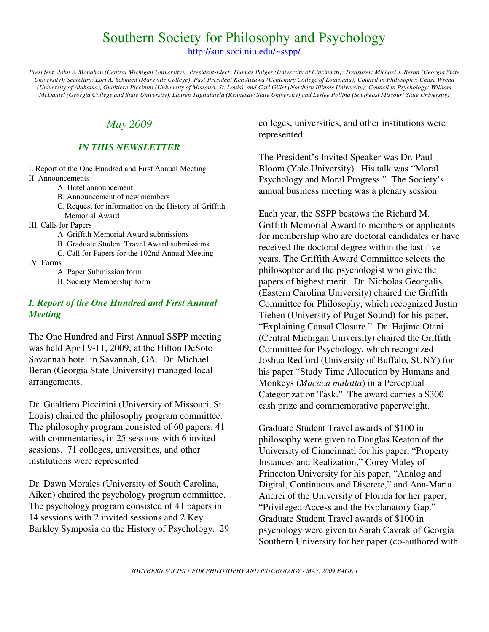## Southern Society for Philosophy and Psychology

http://sun.soci.niu.edu/~sspp/

*President: John S. Monahan (Central Michigan University): President-Elect: Thomas Polger (University of Cincinnati); Treasurer: Michael J. Beran (Georgia State University); Secretary: Lori A. Schmied (Maryville College)*; *Past-President Ken Aizawa (Centenary College of Louisiana); Council in Philosophy: Chase Wrenn (University of Alabama), Gualtiero Piccinini (University of Missouri, St. Louis), and Carl Gillet (Northern Illinois University); Council in Psychology: William McDaniel (Georgia College and State University), Lauren Taglialatela (Kennesaw State University) and Leslee Pollina (Southeast Missouri State University)*

## *May 2009*

#### *IN THIS NEWSLETTER*

I. Report of the One Hundred and First Annual Meeting II. Announcements

- A. Hotel announcement
- B. Announcement of new members
- C. Request for information on the History of Griffith Memorial Award
- III. Calls for Papers
	- A. Griffith Memorial Award submissions

B. Graduate Student Travel Award submissions.

C. Call for Papers for the 102nd Annual Meeting

IV. Forms

A. Paper Submission form

B. Society Membership form

### *I. Report of the One Hundred and First Annual Meeting*

The One Hundred and First Annual SSPP meeting was held April 9-11, 2009, at the Hilton DeSoto Savannah hotel in Savannah, GA. Dr. Michael Beran (Georgia State University) managed local arrangements.

Dr. Gualtiero Piccinini (University of Missouri, St. Louis) chaired the philosophy program committee. The philosophy program consisted of 60 papers, 41 with commentaries, in 25 sessions with 6 invited sessions. 71 colleges, universities, and other institutions were represented.

Dr. Dawn Morales (University of South Carolina, Aiken) chaired the psychology program committee. The psychology program consisted of 41 papers in 14 sessions with 2 invited sessions and 2 Key Barkley Symposia on the History of Psychology. 29

colleges, universities, and other institutions were represented.

The President's Invited Speaker was Dr. Paul Bloom (Yale University). His talk was "Moral Psychology and Moral Progress." The Society's annual business meeting was a plenary session.

Each year, the SSPP bestows the Richard M. Griffith Memorial Award to members or applicants for membership who are doctoral candidates or have received the doctoral degree within the last five years. The Griffith Award Committee selects the philosopher and the psychologist who give the papers of highest merit. Dr. Nicholas Georgalis (Eastern Carolina University) chaired the Griffith Committee for Philosophy, which recognized Justin Tiehen (University of Puget Sound) for his paper, "Explaining Causal Closure." Dr. Hajime Otani (Central Michigan University) chaired the Griffith Committee for Psychology, which recognized Joshua Redford (University of Buffalo, SUNY) for his paper "Study Time Allocation by Humans and Monkeys (*Macaca mulatta*) in a Perceptual Categorization Task." The award carries a \$300 cash prize and commemorative paperweight.

Graduate Student Travel awards of \$100 in philosophy were given to Douglas Keaton of the University of Cinncinnati for his paper, "Property Instances and Realization," Corey Maley of Princeton University for his paper, "Analog and Digital, Continuous and Discrete," and Ana-Maria Andrei of the University of Florida for her paper, "Privileged Access and the Explanatory Gap." Graduate Student Travel awards of \$100 in psychology were given to Sarah Cavrak of Georgia Southern University for her paper (co-authored with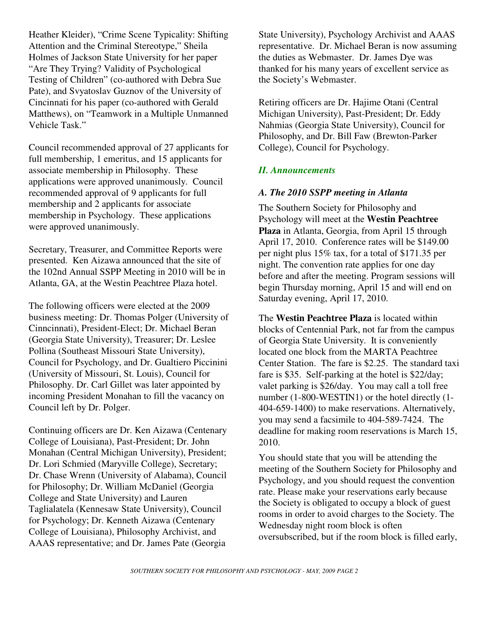Heather Kleider), "Crime Scene Typicality: Shifting Attention and the Criminal Stereotype," Sheila Holmes of Jackson State University for her paper "Are They Trying? Validity of Psychological Testing of Children" (co-authored with Debra Sue Pate), and Svyatoslav Guznov of the University of Cincinnati for his paper (co-authored with Gerald Matthews), on "Teamwork in a Multiple Unmanned Vehicle Task."

Council recommended approval of 27 applicants for full membership, 1 emeritus, and 15 applicants for associate membership in Philosophy. These applications were approved unanimously. Council recommended approval of 9 applicants for full membership and 2 applicants for associate membership in Psychology. These applications were approved unanimously.

Secretary, Treasurer, and Committee Reports were presented. Ken Aizawa announced that the site of the 102nd Annual SSPP Meeting in 2010 will be in Atlanta, GA, at the Westin Peachtree Plaza hotel.

The following officers were elected at the 2009 business meeting: Dr. Thomas Polger (University of Cinncinnati), President-Elect; Dr. Michael Beran (Georgia State University), Treasurer; Dr. Leslee Pollina (Southeast Missouri State University), Council for Psychology, and Dr. Gualtiero Piccinini (University of Missouri, St. Louis), Council for Philosophy. Dr. Carl Gillet was later appointed by incoming President Monahan to fill the vacancy on Council left by Dr. Polger.

Continuing officers are Dr. Ken Aizawa (Centenary College of Louisiana), Past-President; Dr. John Monahan (Central Michigan University), President; Dr. Lori Schmied (Maryville College), Secretary; Dr. Chase Wrenn (University of Alabama), Council for Philosophy; Dr. William McDaniel (Georgia College and State University) and Lauren Taglialatela (Kennesaw State University), Council for Psychology; Dr. Kenneth Aizawa (Centenary College of Louisiana), Philosophy Archivist, and AAAS representative; and Dr. James Pate (Georgia

State University), Psychology Archivist and AAAS representative. Dr. Michael Beran is now assuming the duties as Webmaster. Dr. James Dye was thanked for his many years of excellent service as the Society's Webmaster.

Retiring officers are Dr. Hajime Otani (Central Michigan University), Past-President; Dr. Eddy Nahmias (Georgia State University), Council for Philosophy, and Dr. Bill Faw (Brewton-Parker College), Council for Psychology.

## *II. Announcements*

## *A. The 2010 SSPP meeting in Atlanta*

The Southern Society for Philosophy and Psychology will meet at the **Westin Peachtree Plaza** in Atlanta, Georgia, from April 15 through April 17, 2010. Conference rates will be \$149.00 per night plus 15% tax, for a total of \$171.35 per night. The convention rate applies for one day before and after the meeting. Program sessions will begin Thursday morning, April 15 and will end on Saturday evening, April 17, 2010.

The **Westin Peachtree Plaza** is located within blocks of Centennial Park, not far from the campus of Georgia State University. It is conveniently located one block from the MARTA Peachtree Center Station. The fare is \$2.25. The standard taxi fare is \$35. Self-parking at the hotel is \$22/day; valet parking is \$26/day. You may call a toll free number (1-800-WESTIN1) or the hotel directly (1- 404-659-1400) to make reservations. Alternatively, you may send a facsimile to 404-589-7424. The deadline for making room reservations is March 15, 2010.

You should state that you will be attending the meeting of the Southern Society for Philosophy and Psychology, and you should request the convention rate. Please make your reservations early because the Society is obligated to occupy a block of guest rooms in order to avoid charges to the Society. The Wednesday night room block is often oversubscribed, but if the room block is filled early,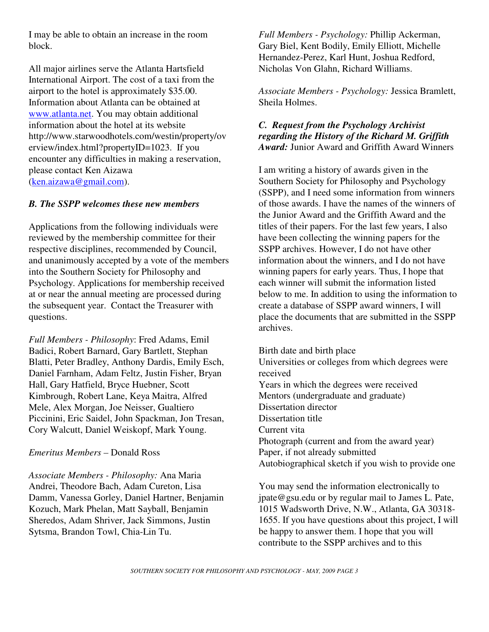I may be able to obtain an increase in the room block.

All major airlines serve the Atlanta Hartsfield International Airport. The cost of a taxi from the airport to the hotel is approximately \$35.00. Information about Atlanta can be obtained at www.atlanta.net. You may obtain additional information about the hotel at its website http://www.starwoodhotels.com/westin/property/ov erview/index.html?propertyID=1023. If you encounter any difficulties in making a reservation, please contact Ken Aizawa (ken.aizawa@gmail.com).

## *B. The SSPP welcomes these new members*

Applications from the following individuals were reviewed by the membership committee for their respective disciplines, recommended by Council, and unanimously accepted by a vote of the members into the Southern Society for Philosophy and Psychology. Applications for membership received at or near the annual meeting are processed during the subsequent year. Contact the Treasurer with questions.

*Full Members - Philosophy*: Fred Adams, Emil Badici, Robert Barnard, Gary Bartlett, Stephan Blatti, Peter Bradley, Anthony Dardis, Emily Esch, Daniel Farnham, Adam Feltz, Justin Fisher, Bryan Hall, Gary Hatfield, Bryce Huebner, Scott Kimbrough, Robert Lane, Keya Maitra, Alfred Mele, Alex Morgan, Joe Neisser, Gualtiero Piccinini, Eric Saidel, John Spackman, Jon Tresan, Cory Walcutt, Daniel Weiskopf, Mark Young.

*Emeritus Members –* Donald Ross

*Associate Members - Philosophy:* Ana Maria Andrei, Theodore Bach, Adam Cureton, Lisa Damm, Vanessa Gorley, Daniel Hartner, Benjamin Kozuch, Mark Phelan, Matt Sayball, Benjamin Sheredos, Adam Shriver, Jack Simmons, Justin Sytsma, Brandon Towl, Chia-Lin Tu.

*Full Members - Psychology:* Phillip Ackerman, Gary Biel, Kent Bodily, Emily Elliott, Michelle Hernandez-Perez, Karl Hunt, Joshua Redford, Nicholas Von Glahn, Richard Williams.

*Associate Members - Psychology:* Jessica Bramlett, Sheila Holmes.

## *C. Request from the Psychology Archivist regarding the History of the Richard M. Griffith Award:* Junior Award and Griffith Award Winners

I am writing a history of awards given in the Southern Society for Philosophy and Psychology (SSPP), and I need some information from winners of those awards. I have the names of the winners of the Junior Award and the Griffith Award and the titles of their papers. For the last few years, I also have been collecting the winning papers for the SSPP archives. However, I do not have other information about the winners, and I do not have winning papers for early years. Thus, I hope that each winner will submit the information listed below to me. In addition to using the information to create a database of SSPP award winners, I will place the documents that are submitted in the SSPP archives.

Birth date and birth place Universities or colleges from which degrees were received Years in which the degrees were received Mentors (undergraduate and graduate) Dissertation director Dissertation title Current vita Photograph (current and from the award year) Paper, if not already submitted Autobiographical sketch if you wish to provide one

You may send the information electronically to jpate@gsu.edu or by regular mail to James L. Pate, 1015 Wadsworth Drive, N.W., Atlanta, GA 30318- 1655. If you have questions about this project, I will be happy to answer them. I hope that you will contribute to the SSPP archives and to this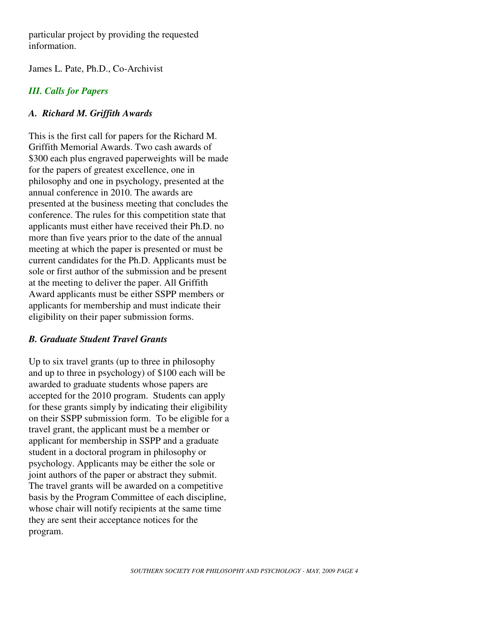particular project by providing the requested information.

James L. Pate, Ph.D., Co-Archivist

## *III. Calls for Papers*

## *A. Richard M. Griffith Awards*

This is the first call for papers for the Richard M. Griffith Memorial Awards. Two cash awards of \$300 each plus engraved paperweights will be made for the papers of greatest excellence, one in philosophy and one in psychology, presented at the annual conference in 2010. The awards are presented at the business meeting that concludes the conference. The rules for this competition state that applicants must either have received their Ph.D. no more than five years prior to the date of the annual meeting at which the paper is presented or must be current candidates for the Ph.D. Applicants must be sole or first author of the submission and be present at the meeting to deliver the paper. All Griffith Award applicants must be either SSPP members or applicants for membership and must indicate their eligibility on their paper submission forms.

## *B. Graduate Student Travel Grants*

Up to six travel grants (up to three in philosophy and up to three in psychology) of \$100 each will be awarded to graduate students whose papers are accepted for the 2010 program. Students can apply for these grants simply by indicating their eligibility on their SSPP submission form. To be eligible for a travel grant, the applicant must be a member or applicant for membership in SSPP and a graduate student in a doctoral program in philosophy or psychology. Applicants may be either the sole or joint authors of the paper or abstract they submit. The travel grants will be awarded on a competitive basis by the Program Committee of each discipline, whose chair will notify recipients at the same time they are sent their acceptance notices for the program.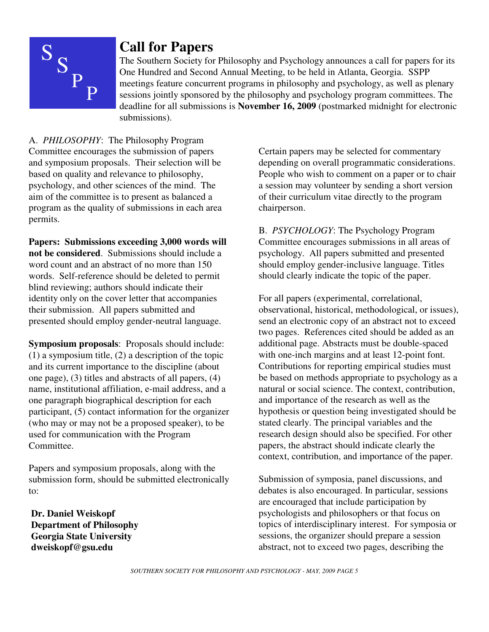

# **Call for Papers**

The Southern Society for Philosophy and Psychology announces a call for papers for its One Hundred and Second Annual Meeting, to be held in Atlanta, Georgia. SSPP meetings feature concurrent programs in philosophy and psychology, as well as plenary sessions jointly sponsored by the philosophy and psychology program committees. The deadline for all submissions is **November 16, 2009** (postmarked midnight for electronic submissions).

A. *PHILOSOPHY*: The Philosophy Program Committee encourages the submission of papers and symposium proposals. Their selection will be based on quality and relevance to philosophy, psychology, and other sciences of the mind. The aim of the committee is to present as balanced a program as the quality of submissions in each area permits.

**Papers: Submissions exceeding 3,000 words will not be considered**. Submissions should include a word count and an abstract of no more than 150 words. Self-reference should be deleted to permit blind reviewing; authors should indicate their identity only on the cover letter that accompanies their submission. All papers submitted and presented should employ gender-neutral language.

**Symposium proposals**: Proposals should include: (1) a symposium title, (2) a description of the topic and its current importance to the discipline (about one page), (3) titles and abstracts of all papers, (4) name, institutional affiliation, e-mail address, and a one paragraph biographical description for each participant, (5) contact information for the organizer (who may or may not be a proposed speaker), to be used for communication with the Program Committee.

Papers and symposium proposals, along with the submission form, should be submitted electronically to:

 **Dr. Daniel Weiskopf Department of Philosophy Georgia State University dweiskopf@gsu.edu** 

Certain papers may be selected for commentary depending on overall programmatic considerations. People who wish to comment on a paper or to chair a session may volunteer by sending a short version of their curriculum vitae directly to the program chairperson.

B. *PSYCHOLOGY*: The Psychology Program Committee encourages submissions in all areas of psychology. All papers submitted and presented should employ gender-inclusive language. Titles should clearly indicate the topic of the paper.

For all papers (experimental, correlational, observational, historical, methodological, or issues), send an electronic copy of an abstract not to exceed two pages. References cited should be added as an additional page. Abstracts must be double-spaced with one-inch margins and at least 12-point font. Contributions for reporting empirical studies must be based on methods appropriate to psychology as a natural or social science. The context, contribution, and importance of the research as well as the hypothesis or question being investigated should be stated clearly. The principal variables and the research design should also be specified. For other papers, the abstract should indicate clearly the context, contribution, and importance of the paper.

Submission of symposia, panel discussions, and debates is also encouraged. In particular, sessions are encouraged that include participation by psychologists and philosophers or that focus on topics of interdisciplinary interest. For symposia or sessions, the organizer should prepare a session abstract, not to exceed two pages, describing the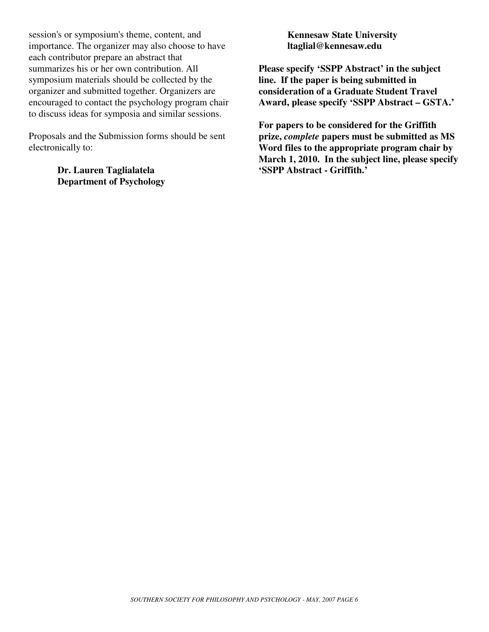session's or symposium's theme, content, and importance. The organizer may also choose to have each contributor prepare an abstract that summarizes his or her own contribution. All symposium materials should be collected by the organizer and submitted together. Organizers are encouraged to contact the psychology program chair to discuss ideas for symposia and similar sessions.

Proposals and the Submission forms should be sent electronically to:

> **Dr. Lauren Taglialatela Department of Psychology**

**Kennesaw State University ltaglial@kennesaw.edu** 

**Please specify 'SSPP Abstract' in the subject line. If the paper is being submitted in consideration of a Graduate Student Travel Award, please specify 'SSPP Abstract – GSTA.'**

**For papers to be considered for the Griffith prize,** *complete* **papers must be submitted as MS Word files to the appropriate program chair by March 1, 2010. In the subject line, please specify 'SSPP Abstract - Griffith.'**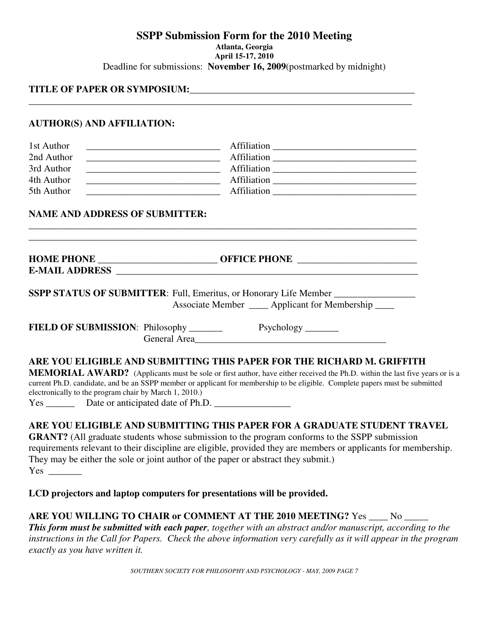#### **SSPP Submission Form for the 2010 Meeting Atlanta, Georgia April 15-17, 2010** Deadline for submissions: **November 16, 2009**(postmarked by midnight)

#### **TITLE OF PAPER OR SYMPOSIUM:**\_\_\_\_\_\_\_\_\_\_\_\_\_\_\_\_\_\_\_\_\_\_\_\_\_\_\_\_\_\_\_\_\_\_\_\_\_\_\_\_\_\_\_\_\_\_\_

#### **AUTHOR(S) AND AFFILIATION:**

| 1st Author | Affiliation |  |
|------------|-------------|--|
| 2nd Author | Affiliation |  |
| 3rd Author | Affiliation |  |
| 4th Author | Affiliation |  |
| 5th Author | Affiliation |  |

\_\_\_\_\_\_\_\_\_\_\_\_\_\_\_\_\_\_\_\_\_\_\_\_\_\_\_\_\_\_\_\_\_\_\_\_\_\_\_\_\_\_\_\_\_\_\_\_\_\_\_\_\_\_\_\_\_\_\_\_\_\_\_\_\_\_\_\_\_\_\_\_\_\_\_\_\_\_\_\_\_ \_\_\_\_\_\_\_\_\_\_\_\_\_\_\_\_\_\_\_\_\_\_\_\_\_\_\_\_\_\_\_\_\_\_\_\_\_\_\_\_\_\_\_\_\_\_\_\_\_\_\_\_\_\_\_\_\_\_\_\_\_\_\_\_\_\_\_\_\_\_\_\_\_\_\_\_\_\_\_\_\_

\_\_\_\_\_\_\_\_\_\_\_\_\_\_\_\_\_\_\_\_\_\_\_\_\_\_\_\_\_\_\_\_\_\_\_\_\_\_\_\_\_\_\_\_\_\_\_\_\_\_\_\_\_\_\_\_\_\_\_\_\_\_\_\_\_\_\_\_\_\_\_\_\_\_\_\_\_\_\_\_

#### **NAME AND ADDRESS OF SUBMITTER:**

| <b>HOME PHONE</b>     | <b>OFFICE PHONE</b> |  |
|-----------------------|---------------------|--|
| <b>E-MAIL ADDRESS</b> |                     |  |
|                       |                     |  |

SSPP STATUS OF SUBMITTER: Full, Emeritus, or Honorary Life Member \_\_\_\_\_\_\_\_\_\_\_\_\_\_\_ Associate Member \_\_\_\_ Applicant for Membership \_\_\_\_

**FIELD OF SUBMISSION:** Philosophy \_\_\_\_\_\_\_\_\_ Psychology \_\_\_\_\_\_\_ General Area

## **ARE YOU ELIGIBLE AND SUBMITTING THIS PAPER FOR THE RICHARD M. GRIFFITH**

**MEMORIAL AWARD?** (Applicants must be sole or first author, have either received the Ph.D. within the last five years or is a current Ph.D. candidate, and be an SSPP member or applicant for membership to be eligible. Complete papers must be submitted electronically to the program chair by March 1, 2010.)

Yes \_\_\_\_\_\_ Date or anticipated date of Ph.D. \_\_\_\_\_\_\_\_\_\_\_\_\_\_\_\_

## **ARE YOU ELIGIBLE AND SUBMITTING THIS PAPER FOR A GRADUATE STUDENT TRAVEL**

**GRANT?** (All graduate students whose submission to the program conforms to the SSPP submission requirements relevant to their discipline are eligible, provided they are members or applicants for membership. They may be either the sole or joint author of the paper or abstract they submit.)  $Yes \_\_$ 

**LCD projectors and laptop computers for presentations will be provided.**

**ARE YOU WILLING TO CHAIR or COMMENT AT THE 2010 MEETING?** Yes \_\_\_\_ No \_\_\_\_\_ *This form must be submitted with each paper, together with an abstract and/or manuscript, according to the instructions in the Call for Papers. Check the above information very carefully as it will appear in the program exactly as you have written it.*